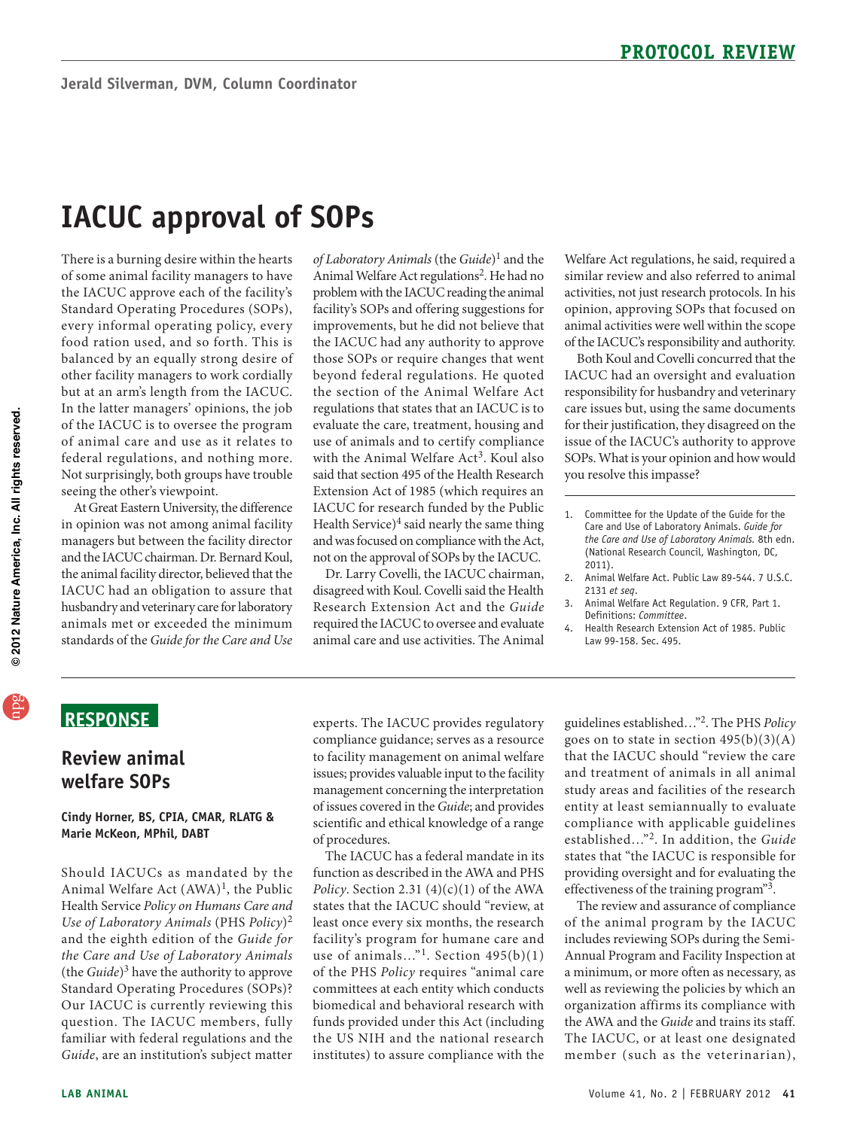# **IACUC approval of Sops**

 Standard Operating Procedures (SOPs), every informal operating policy, every other facility managers to work cordially In the latter managers' opinions, the job of the IACUC is to oversee the program federal regulations, and nothing more. There is a burning desire within the hearts of some animal facility managers to have the IACUC approve each of the facility's food ration used, and so forth. This is balanced by an equally strong desire of but at an arm's length from the IACUC. of animal care and use as it relates to Not surprisingly, both groups have trouble seeing the other's viewpoint.

 At Great Eastern University, the difference husbandry and veterinary care for laboratory animals met or exceeded the minimum in opinion was not among animal facility managers but between the facility director and the IACUC chairman. Dr. Bernard Koul, the animal facility director, believed that the IACUC had an obligation to assure that standards of the *Guide for the Care and Use* 

*of Laboratory Animals* (the *Guide*)1 and the Animal Welfare Act regulations<sup>2</sup>. He had no problem with the IACUC reading the animal facility's SOPs and offering suggestions for improvements, but he did not believe that the IACUC had any authority to approve those SOPs or require changes that went beyond federal regulations. He quoted the section of the Animal Welfare Act regulations that states that an IACUC is to evaluate the care, treatment, housing and use of animals and to certify compliance with the Animal Welfare Act<sup>3</sup>. Koul also said that section 495 of the Health Research Extension Act of 1985 (which requires an IACUC for research funded by the Public Health Service) $4$  said nearly the same thing and was focused on compliance with the Act, not on the approval of SOPs by the IACUC.

Dr. Larry Covelli, the IACUC chairman, disagreed with Koul. Covelli said the Health Research Extension Act and the *Guide*  required the IACUC to oversee and evaluate animal care and use activities. The Animal

 similar review and also referred to animal Welfare Act regulations, he said, required a activities, not just research protocols. In his opinion, approving SOPs that focused on animal activities were well within the scope of the IACUC's responsibility and authority.

Both Koul and Covelli concurred that the IACUC had an oversight and evaluation responsibility for husbandry and veterinary care issues but, using the same documents for their justification, they disagreed on the issue of the IACUC's authority to approve SOPs. What is your opinion and how would you resolve this impasse?

# **ReSponSe**

# **Review animal welfare Sops**

#### **Cindy Horner, BS, CpIA, CMAR, RLATG & Marie McKeon, Mphil, DABT**

Should IACUCs as mandated by the Animal Welfare Act  $(AWA)^1$ , the Public Health Service *Policy on Humans Care and Use of Laboratory Animals* (PHS *Policy*)<sup>2</sup> and the eighth edition of the *Guide for the Care and Use of Laboratory Animals*  (the *Guide*)3 have the authority to approve Standard Operating Procedures (SOPs)? Our IACUC is currently reviewing this question. The IACUC members, fully familiar with federal regulations and the *Guide*, are an institution's subject matter

experts. The IACUC provides regulatory compliance guidance; serves as a resource to facility management on animal welfare issues; provides valuable input to the facility management concerning the interpretation of issues covered in the *Guide*; and provides scientific and ethical knowledge of a range of procedures.

 funds provided under this Act (including institutes) to assure compliance with the The IACUC has a federal mandate in its function as described in the AWA and PHS *Policy*. Section 2.31  $(4)(c)(1)$  of the AWA states that the IACUC should "review, at least once every six months, the research facility's program for humane care and use of animals…"1. Section 495(b)(1) of the PHS *Policy* requires "animal care committees at each entity which conducts biomedical and behavioral research with the US NIH and the national research

 guidelines established…"2. The PHS *Policy*  goes on to state in section  $495(b)(3)(A)$ that the IACUC should "review the care and treatment of animals in all animal study areas and facilities of the research entity at least semiannually to evaluate compliance with applicable guidelines established…"2. In addition, the *Guide*  states that "the IACUC is responsible for providing oversight and for evaluating the effectiveness of the training program"3.

 a minimum, or more often as necessary, as The IACUC, or at least one designated The review and assurance of compliance of the animal program by the IACUC includes reviewing SOPs during the Semi-Annual Program and Facility Inspection at well as reviewing the policies by which an organization affirms its compliance with the AWA and the *Guide* and trains its staff. member (such as the veterinarian),

<sup>1.</sup> Committee for the Update of the Guide for the Care and Use of Laboratory Animals. *Guide for the Care and Use of Laboratory Animals.* 8th edn. (National Research Council, Washington, DC, 2011).

<sup>2.</sup> Animal Welfare Act. Public Law 89-544. 7 U.S.C. 2131 *et seq*.

<sup>3.</sup> Animal Welfare Act Regulation. 9 CFR, Part 1. Definitions: *Committee*.

<sup>4.</sup> Health Research Extension Act of 1985. Public Law 99-158. Sec. 495.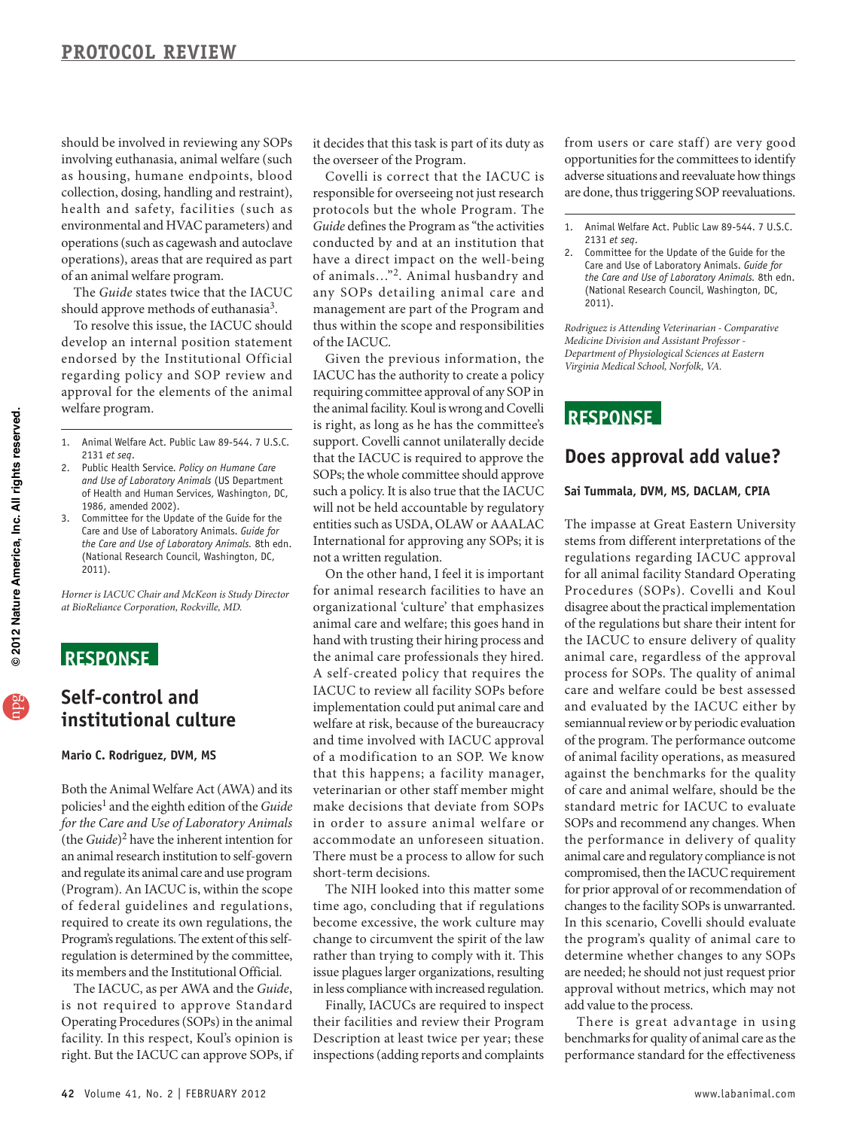operations (such as cagewash and autoclave should be involved in reviewing any SOPs involving euthanasia, animal welfare (such as housing, humane endpoints, blood collection, dosing, handling and restraint), health and safety, facilities (such as environmental and HVAC parameters) and operations), areas that are required as part of an animal welfare program.

The *Guide* states twice that the IACUC should approve methods of euthanasia<sup>3</sup>.

To resolve this issue, the IACUC should develop an internal position statement endorsed by the Institutional Official regarding policy and SOP review and approval for the elements of the animal welfare program.

- 1. Animal Welfare Act. Public Law 89-544. 7 U.S.C. 2131 *et seq*.
- 2. Public Health Service. *Policy on Humane Care and Use of Laboratory Animals* (US Department of Health and Human Services, Washington, DC, 1986, amended 2002).
- 3. Committee for the Update of the Guide for the Care and Use of Laboratory Animals. *Guide for the Care and Use of Laboratory Animals.* 8th edn. (National Research Council, Washington, DC, 2011).

*Horner is IACUC Chair and McKeon is Study Director at BioReliance Corporation, Rockville, MD.* 

# **ReSponSe**

# **Self-control and institutional culture**

#### **Mario C. Rodriguez, DVM, MS**

 and regulate its animal care and use program of federal guidelines and regulations, Both the Animal Welfare Act (AWA) and its policies<sup>1</sup> and the eighth edition of the *Guide for the Care and Use of Laboratory Animals*  (the *Guide*)2 have the inherent intention for an animal research institution to self-govern (Program). An IACUC is, within the scope required to create its own regulations, the Program's regulations. The extent of this selfregulation is determined by the committee, its members and the Institutional Official.

 Operating Procedures (SOPs) in the animal The IACUC, as per AWA and the *Guide*, is not required to approve Standard facility. In this respect, Koul's opinion is right. But the IACUC can approve SOPs, if

it decides that this task is part of its duty as the overseer of the Program.

 *Guide* defines the Program as "the activities conducted by and at an institution that Covelli is correct that the IACUC is responsible for overseeing not just research protocols but the whole Program. The have a direct impact on the well-being of animals…"2. Animal husbandry and any SOPs detailing animal care and management are part of the Program and thus within the scope and responsibilities of the IACUC.

 IACUC has the authority to create a policy is right, as long as he has the committee's support. Covelli cannot unilaterally decide Given the previous information, the requiring committee approval of any SOP in the animal facility. Koul is wrong and Covelli that the IACUC is required to approve the SOPs; the whole committee should approve such a policy. It is also true that the IACUC will not be held accountable by regulatory entities such as USDA, OLAW or AAALAC International for approving any SOPs; it is not a written regulation.

 On the other hand, I feel it is important organizational 'culture' that emphasizes hand with trusting their hiring process and welfare at risk, because of the bureaucracy that this happens; a facility manager, accommodate an unforeseen situation. for animal research facilities to have an animal care and welfare; this goes hand in the animal care professionals they hired. A self-created policy that requires the IACUC to review all facility SOPs before implementation could put animal care and and time involved with IACUC approval of a modification to an SOP. We know veterinarian or other staff member might make decisions that deviate from SOPs in order to assure animal welfare or There must be a process to allow for such short-term decisions.

 rather than trying to comply with it. This issue plagues larger organizations, resulting The NIH looked into this matter some time ago, concluding that if regulations become excessive, the work culture may change to circumvent the spirit of the law in less compliance with increased regulation.

 inspections (adding reports and complaints Finally, IACUCs are required to inspect their facilities and review their Program Description at least twice per year; these

 opportunities for the committees to identify from users or care staff) are very good adverse situations and reevaluate how things are done, thus triggering SOP reevaluations.

2. Committee for the Update of the Guide for the Care and Use of Laboratory Animals. *Guide for the Care and Use of Laboratory Animals.* 8th edn. (National Research Council, Washington, DC, 2011).

*Rodriguez is Attending Veterinarian - Comparative Medicine Division and Assistant Professor Department of Physiological Sciences at Eastern Virginia Medical School, Norfolk, VA.* 

# **ReSponSe**

### **Does approval add value?**

#### **Sai Tummala, DVM, MS, DACLAM, CpIA**

 regulations regarding IACUC approval disagree about the practical implementation the IACUC to ensure delivery of quality semiannual review or by periodic evaluation of the program. The performance outcome against the benchmarks for the quality standard metric for IACUC to evaluate the performance in delivery of quality compromised, then the IACUC requirement for prior approval of or recommendation of In this scenario, Covelli should evaluate The impasse at Great Eastern University stems from different interpretations of the for all animal facility Standard Operating Procedures (SOPs). Covelli and Koul of the regulations but share their intent for animal care, regardless of the approval process for SOPs. The quality of animal care and welfare could be best assessed and evaluated by the IACUC either by of animal facility operations, as measured of care and animal welfare, should be the SOPs and recommend any changes. When animal care and regulatory compliance is not changes to the facility SOPs is unwarranted. the program's quality of animal care to determine whether changes to any SOPs are needed; he should not just request prior approval without metrics, which may not add value to the process.

 performance standard for the effectiveness There is great advantage in using benchmarks for quality of animal care as the

<sup>1.</sup> Animal Welfare Act. Public Law 89-544. 7 U.S.C. 2131 *et seq*.